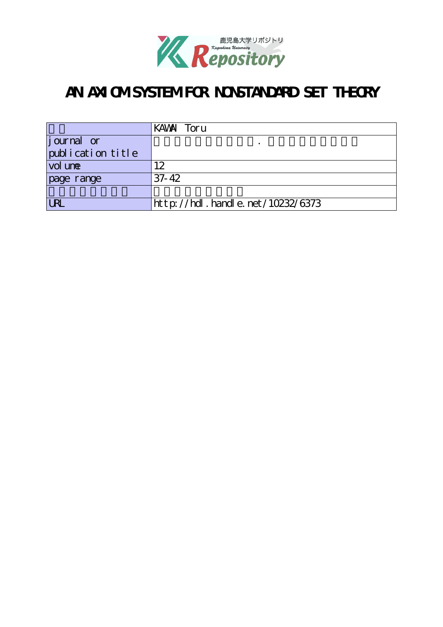

# AN AXI OM SYSTEM FOR NONSTANDARD SET THEORY

|                    | KAWAI Toru                         |
|--------------------|------------------------------------|
| <i>j</i> ournal or |                                    |
| publication title  |                                    |
| vol une            | 12                                 |
| page range         | $37 - 42$                          |
|                    |                                    |
| <b>URL</b>         | http://hdl. handle. net/10232/6373 |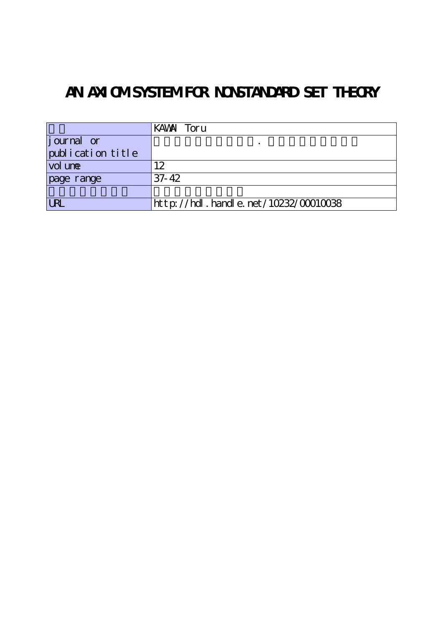# AN AXI OM SYSTEM FOR NONSTANDARD SET THEORY

|                   | KAWAI Toru                                |
|-------------------|-------------------------------------------|
| $j$ ournal or     |                                           |
| publication title |                                           |
| vol une           | l2                                        |
| page range        | $37 - 42$                                 |
|                   |                                           |
| <b>URL</b>        | $http$ ://hdl. handle. net/10232/00010038 |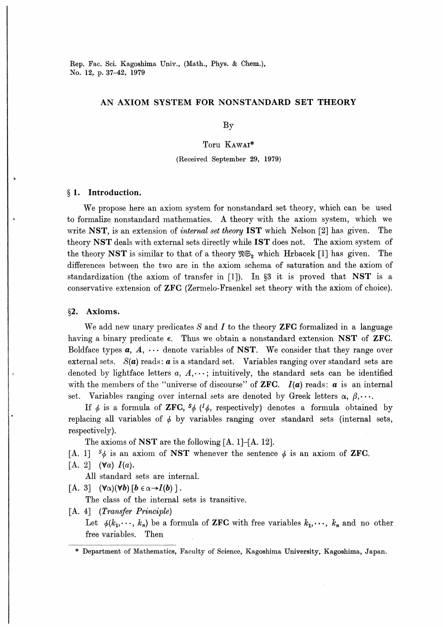Rep. Fac. Sci. Kagoshima Univ., (Math., Phys. & Chem.), No. 12, p. 37-42, 1979

## AN AXIOM SYSTEM FOR NONSTANDARD SET THEORY

By

Toru Kawai\*

(Received September 29, 1979)

### § 1. Introduction.

We propose here an axiom system for nonstandard set theory, which can be used to formalize nonstandard mathematics. A theory with the axiom system, which we write NST, is an extension of *internal set theory* IST which Nelson [2] has given. The theory NST deals with external sets directly while lST does not. The axiom system of the theory NST is similar to that of a theory  $\mathfrak{NS}_2$  which Hrbacek [1] has given. The differences between the two are in the axiom schema of saturation and the axiom of standardization (the axiom of transfer in [1]). In §3 it is proved that NST is a conservative extension of ZFC (Zermelo-Fraenkel set theory with the axiom of choice).

#### §2. Axioms.

We add new unary predicates S and I to the theory **ZFC** formalized in a language having a binary predicate  $\epsilon$ . Thus we obtain a nonstandard extension NST of ZFG. Boldface types  $a, A, \dots$  denote variables of NST. We consider that they range over external sets.  $S(\boldsymbol{a})$  reads:  $\boldsymbol{a}$  is a standard set. Variables ranging over standard sets are denoted by lightface letters  $a, A, \dots$ ; intuitively, the standard sets can be identified with the members of the "universe of discourse" of **ZFC.**  $I(a)$  reads:  $a$  is an internal set. Variables ranging over internal sets are denoted by Greek letters  $\alpha, \beta, \cdots$ .

If  $\phi$  is a formula of **ZFC**,  $\delta\phi$  ( $^l\phi$ , respectively) denotes a formula obtained by replacing all variables of  $\phi$  by variables ranging over standard sets (internal sets, respectively).

The axioms of NST are the following  $[A, 1]$ - $[A, 12]$ .

[A. 1]  $\delta \phi$  is an axiom of **NST** whenever the sentence  $\phi$  is an axiom of **ZFC**.

 $[A, 2]$   $(\forall a) I(a)$ .

All standard sets are internal.

[A. 3]  $(\forall \alpha)(\forall b)$  [ $b \in \alpha \rightarrow I(b)$ ].

The class of the internal sets is transitive.

[A. 4] (*Transfer Principle*)

Let  $\phi(k_1, \dots, k_n)$  be a formula of **ZFC** with free variables  $k_1, \dots, k_n$  and no other free variables. Then

\* Department of Mathematics, Faculty of Science, Kagoshima University, Kagoshima, Japan.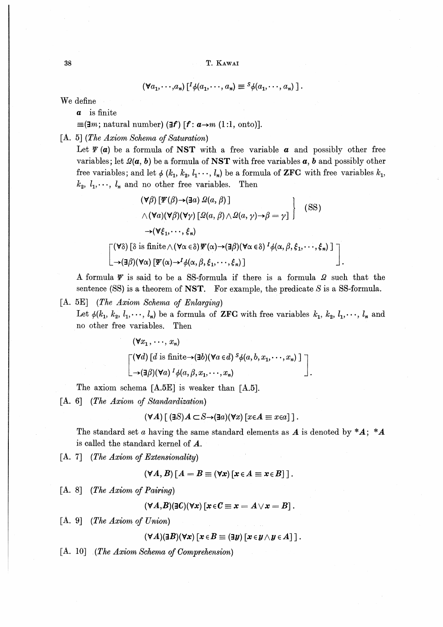$$
(\forall a_1, \cdots, a_n) [{}^I \phi(a_1, \cdots, a_n) \equiv {}^S \phi(a_1, \cdots, a_n) ].
$$

We define

 $a$  is finite

 $\equiv$ (**3***m*; natural number) (**3***f*) [*f* : *a* $\rightarrow$ *m* (1:1, onto)].

 $[A, 5]$  (The Axiom Schema of Saturation)

Let  $\Psi(\mathbf{a})$  be a formula of NST with a free variable  $\mathbf{a}$  and possibly other free variables; let  $\mathcal{Q}(\boldsymbol{a}, \boldsymbol{b})$  be a formula of **NST** with free variables  $\boldsymbol{a}, \boldsymbol{b}$  and possibly other free variables; and let  $\phi$  ( $k_1, k_2, l_1, \dots, l_n$ ) be a formula of **ZFC** with free variables  $k_1$ ,  $k_2, l_1, \dots, l_n$  and no other free variables. Then

$$
(\forall \beta) [\mathbf{F}(\beta) \rightarrow (\exists a) \ \mathbf{\Omega}(a, \beta)]
$$
  
\n
$$
\wedge (\forall a) (\forall \beta) (\forall \gamma) [\mathbf{\Omega}(a, \beta) \wedge \mathbf{\Omega}(a, \gamma) \rightarrow \beta = \gamma]
$$
 (SS)  
\n
$$
\rightarrow (\forall \xi_1, \cdots, \xi_n)
$$
  
\n
$$
[(\forall \delta) [\delta \text{ is finite} \wedge (\forall \alpha \in \delta) \mathbf{F}(\alpha) \rightarrow (\exists \beta) (\forall \alpha \in \delta)^{I} \phi(\alpha, \beta, \xi_1, \cdots, \xi_n)]
$$
  
\n
$$
[(\forall \delta) [\delta \text{ is finite} \wedge (\forall \alpha \in \delta) \mathbf{F}(\alpha) \rightarrow (\exists \beta) (\forall \alpha \in \delta)^{I} \phi(\alpha, \beta, \xi_1, \cdots, \xi_n)]
$$

A formula  $\Psi$  is said to be a SS-formula if there is a formula  $\Omega$  such that the sentence (SS) is a theorem of NST. For example, the predicate  $S$  is a SS-formula.

### $[A. 5E]$  (*The Axiom Schema of Enlarging*)

Let  $\phi(k_1, k_2, l_1, \dots, l_n)$  be a formula of ZFC with free variables  $k_1, k_2, l_1, \dots, l_n$  and no other free variables. Then

$$
(\forall x_1, \dots, x_n)
$$
  
\n
$$
\begin{bmatrix}\n(\forall d) \left[ d \text{ is finite} \rightarrow (\exists b) (\forall a \in d) \, {}^S \phi(a, b, x_1, \dots, x_n) \, \right] \\
\rightarrow (\exists \beta) (\forall a) \, {}^I \phi(a, \beta, x_1, \dots, x_n)\n\end{bmatrix}
$$

The axiom schema [A.5E] is weaker than [A.5].

[A. 6] (The Axiom of Standardization)

$$
(\forall A) [ (\exists S) A \subset S \rightarrow (\exists a)(\forall x) [x \in A \equiv x \in a] ].
$$

The standard set a having the same standard elements as  $A$  is denoted by  $*A$ ; \*A is called the standard kernel of A.

 $[A, 7]$  (The Axiom of Extensionality)

$$
(\forall A, B) [A = B \equiv (\forall x) [x \in A \equiv x \in B]].
$$

 $[A. 8]$  (The Axiom of Pairing)

$$
(\forall A,B)(\exists C)(\forall x)[x\!\in\!\mathit{C}\equiv x=A\!\vee\!x=B].
$$

 $[A, 9]$  (The Axiom of Union)

$$
(\forall A)(\exists B)(\forall x)\,[\,x\!\in\!B\equiv(\exists y)\,[\,x\!\in\!y\wedge y\!\in\!A]\,]\,.
$$

[A. 10] (The Axiom Schema of Comprehension)

38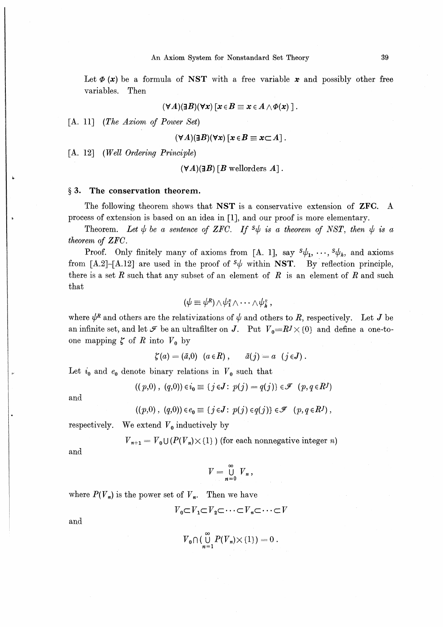Let  $\phi(x)$  be a formula of NST with a free variable x and possibly other free variables. Then

$$
(\forall A)(\exists B)(\forall x)\,[x\!\in\!B\equiv x\!\in\!A\wedge\!\varPhi(x)\;]\,.
$$

[A. 11] (The Axiom of Power Set)

$$
(\forall A)(\exists B)(\forall x)[x \in B \equiv x \subset A].
$$

[A. 12] (Well Ordering Principle)

 $(\forall A)(\exists B)$  [B wellorders A].

#### § 3. The conservation theorem.

The following theorem shows that NST is a conservative extension of ZFC. A process of extension is based on an idea in [1], and our proof is more elementary.

Theorem. Let  $\psi$  be a sentence of ZFC. If  $\mathcal{S}\psi$  is a theorem of NST, then  $\psi$  is a theorem of ZFC.

Proof. Only finitely many of axioms from [A. 1], say  $s\psi_1, \dots, s\psi_k$ , and axioms from [A.2]-[A.12] are used in the proof of  $s\psi$  within NST. By reflection principle, there is a set  $R$  such that any subset of an element of  $R$  is an element of  $R$  and such that

$$
(\psi \equiv \psi^R) \wedge \psi_1^R \wedge \cdots \wedge \psi_R^R ,
$$

where  $\psi^R$  and others are the relativizations of  $\psi$  and others to R, respectively. Let J be an infinite set, and let  $\mathcal F$  be an ultrafilter on J. Put  $V_0=RJ\times{0}$  and define a one-toone mapping  $\zeta$  of R into  $V_0$  by

$$
\zeta(a) = (\bar{a}, 0) \quad (a \in R) \ , \qquad \bar{a}(j) = a \quad (j \in J) \ .
$$

Let  $i_0$  and  $e_0$  denote binary relations in  $V_0$  such that

$$
((p,0), (q,0)) \in i_0 \equiv \{j \in J : p(j) = q(j)\} \in \mathcal{F} (p,q \in R^J)
$$

and

$$
((p,0), (q,0)) \in e_0 \equiv \{ j \in J : p(j) \in q(j) \} \in \mathcal{F} \ (p,q \in R^J) ,
$$

respectively. We extend  $V_0$  inductively by

 $V_{n+1} = V_0 \cup (P(V_n) \times \{1\})$  (for each nonnegative integer n)

and

$$
V=\bigcup_{n=0}^{\infty} V_n
$$

where  $P(V_n)$  is the power set of  $V_n$ . Then we have

$$
V_0 \subset V_1 \subset V_2 \subset \cdots \subset V_n \subset \cdots \subset V
$$

and

 $\overline{V}_0 \cap (\bigcup_{n=1}^\infty P(\overline{V}_n) {\times \{1\}}) = 0.$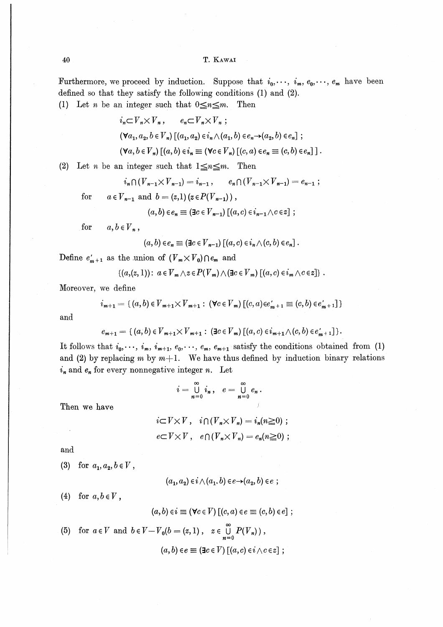Furthermore, we proceed by induction. Suppose that  $i_0, \dots, i_m, e_0, \dots, e_m$  have been defined so that they satisfy the following conditions (1) and (2).

(1) Let *n* be an integer such that  $0 \le n \le m$ . Then

$$
i_n \subset V_n \times V_n, \qquad e_n \subset V_n \times V_n ;
$$
  
\n
$$
(\forall a_1, a_2, b \in V_n) \left[ (a_1, a_2) \in i_n \wedge (a_1, b) \in e_n \rightarrow (a_2, b) \in e_n \right] ;
$$
  
\n
$$
(\forall a, b \in V_n) \left[ (a, b) \in i_n \equiv (\forall c \in V_n) \left[ (c, a) \in e_n \equiv (c, b) \in e_n \right] \right].
$$

(2) Let *n* be an integer such that  $1 \le n \le m$ . Then

$$
i_n \cap (V_{n-1} \times V_{n-1}) = i_{n-1}, \qquad e_n \cap (V_{n-1} \times V_{n-1}) = e_{n-1};
$$

for  $a \in V_{n-1}$  and  $b = (z,1)(z \in P(V_{n-1}))$ ,

$$
(a,b)\in e_n\equiv (\exists c\in V_{n-1})\left[(a,c)\in i_{n-1}\wedge c\in z\right];
$$

for  $a, b \in V_n$ ,

$$
(a, b) \in e_n \equiv (\exists c \in V_{n-1}) [(a, c) \in i_n \wedge (c, b) \in e_n].
$$

Define  $e'_{m+1}$  as the union of  $(V_m \times V_0) \cap e_m$  and

$$
\{(a,(z,1))\colon a\in V_m\wedge z\in P(V_m)\wedge (\exists c\in V_m)\;[(a,c)\in i_m\wedge c\in z]\}\;.
$$

Moreover, we define

$$
i_{m+1} = \{ (a, b) \in V_{m+1} \times V_{m+1} : (\forall c \in V_m) \left[ (c, a) \in e'_{m+1} \equiv (c, b) \in e'_{m+1} \right] \}
$$

and

$$
e_{m+1} = \{ (a, b) \in V_{m+1} \times V_{m+1} : (\exists c \in V_m) \left[ (a, c) \in i_{m+1} \wedge (c, b) \in e'_{m+1} \right] \}.
$$

It follows that  $i_0, \dots, i_m, i_{m+1}, e_0, \dots, e_m, e_{m+1}$  satisfy the conditions obtained from (1) and (2) by replacing m by  $m+1$ . We have thus defined by induction binary relations  $i_n$  and  $e_n$  for every nonnegative integer n. Let

$$
i=\bigcup_{n=0}^\infty i_n,\quad e=\bigcup_{n=0}^\infty e_n.
$$

Then we have

$$
i\subset V\times V, \quad i\cap (V_n\times V_n) = i_n(n\geq 0) ;
$$
  

$$
e\subset V\times V, \quad e\cap (V_n\times V_n) = e_n(n\geq 0) ;
$$

and

 $\ddot{\phantom{a}}$ 

(3) for 
$$
a_1, a_2, b \in V
$$
,

 $(a_1, a_2) \in i \wedge (a_1, b) \in e \rightarrow (a_2, b) \in e$ ;

(4) for  $a, b \in V$ ,

$$
(a,b)\in i\equiv (\forall c\in V)\left[(c,a)\in e\equiv (c,b)\in e\right];
$$

(5) for 
$$
a \in V
$$
 and  $b \in V - V_0(b = (z, 1), z \in \bigcup_{n=0}^{\infty} P(V_n)$ ),  
\n
$$
(a, b) \in e \equiv (\exists c \in V) [(a, c) \in i \land c \in z];
$$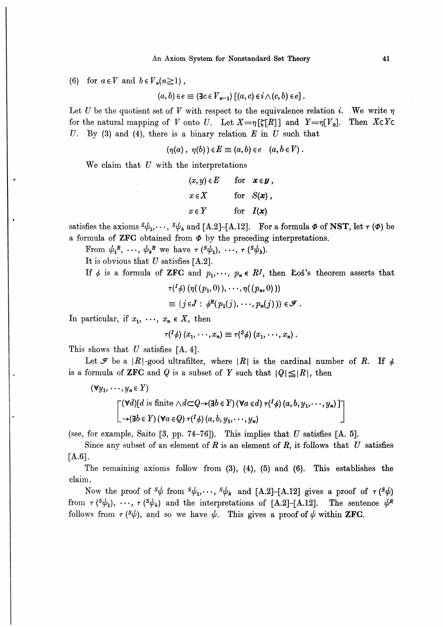#### An Axiom System for Nonstandard Set Theory

(6) for  $a \in V$  and  $b \in V_n(n \ge 1)$ ,

 $(a, b) \in e \equiv (\exists c \in V_{n-1}) \left[ (a, c) \in i \wedge (c, b) \in e \right].$ 

Let U be the quotient set of V with respect to the equivalence relation i. We write  $\eta$ for the natural mapping of V onto U. Let  $X = \eta[\zeta[R]]$  and  $Y = \eta[V_0]$ . Then  $X \subset Y \subset Y$ U. By (3) and (4), there is a binary relation  $E$  in U such that

 $(\eta(a), \eta(b)) \in E \equiv (a, b) \in e \quad (a, b \in V).$ 

We claim that  $U$  with the interpretations

$$
(x, y) \in E \quad \text{for} \quad x \in y,
$$
  

$$
x \in X \quad \text{for} \quad S(x),
$$
  

$$
x \in Y \quad \text{for} \quad I(x)
$$

satisfies the axioms  $s\psi_1, \dots, s\psi_k$  and [A.2]-[A.12]. For a formula  $\Phi$  of NST, let  $\tau(\Phi)$  be a formula of ZFC obtained from  $\Phi$  by the preceding interpretations.

From  $\psi_1^R$ , ...,  $\psi_h^R$  we have  $\tau(S\psi_1), \ldots, \tau(S\psi_h)$ .

It is obvious that  $U$  satisfies [A.2].

If  $\phi$  is a formula of **ZFC** and  $p_1, \dots, p_n \in R^J$ , then **Łoś's** theorem asserts that

$$
\tau({}^{1}\phi) \left(\eta((p_1,0)), \cdots, \eta((p_n,0))\right)
$$
  
\n
$$
\equiv \{j \in J : \phi^{R}(p_1(j), \cdots, p_n(j))\} \in \mathscr{F}
$$

In particular, if  $x_1, \ldots, x_n \in X$ , then

$$
\tau({}^{I}\phi)\ (x_1,\cdots,x_n)\equiv \tau({}^{S}\phi)\ (x_1,\cdots,x_n)\ .
$$

This shows that  $U$  satisfies [A. 4].

Let  $\mathcal F$  be a  $|R|$ -good ultrafilter, where  $|R|$  is the cardinal number of R. If  $\phi$ is a formula of **ZFC** and Q is a subset of Y such that  $|Q| \leq |R|$ , then

$$
(\forall y_1, \dots, y_n \in Y)
$$
  
\n
$$
\begin{bmatrix}\n(\forall d)[d \text{ is finite } \land d \subset Q \to (\exists b \in Y) (\forall a \in d) \ \tau(^{I} \phi) (a, b, y_1, \dots, y_n)] \\
\quad \quad -(\exists b \in Y) (\forall a \in Q) \ \tau(^{I} \phi) (a, b, y_1, \dots, y_n)\n\end{bmatrix}
$$

(see, for example, Saito [3, pp. 74-76]). This implies that  $U$  satisfies [A. 5].

Since any subset of an element of R is an element of R, it follows that U satisfies  $[A.6]$ .

The remaining axioms follow from  $(3)$ ,  $(4)$ ,  $(5)$  and  $(6)$ . This establishes the claim.

Now the proof of  $s\psi$  from  $s\psi_1, \dots, s\psi_k$  and [A.2]-[A.12] gives a proof of  $\tau(s\psi)$ from  $\tau(\psi_1), \dots, \tau(\psi_k)$  and the interpretations of [A.2]-[A.12]. The sentence  $\psi^R$ follows from  $\tau$  ( $\frac{s}{\psi}$ ), and so we have  $\psi$ . This gives a proof of  $\psi$  within **ZFC**.